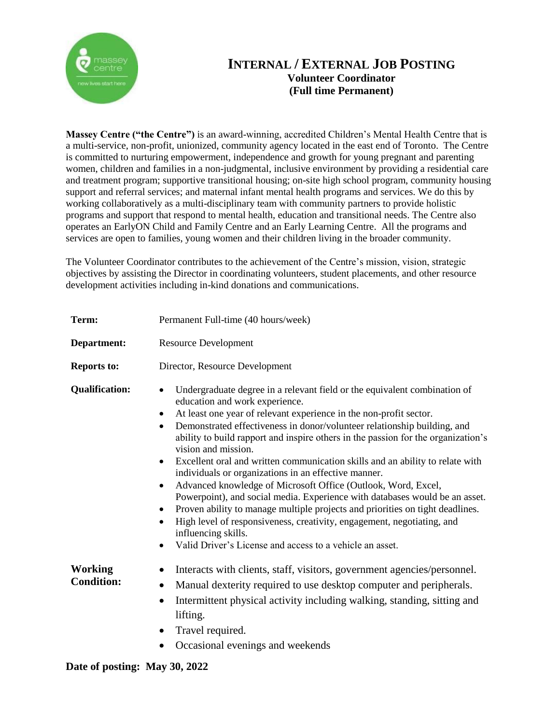

## **INTERNAL / EXTERNAL JOB POSTING Volunteer Coordinator (Full time Permanent)**

**Massey Centre ("the Centre")** is an award-winning, accredited Children's Mental Health Centre that is a multi-service, non-profit, unionized, community agency located in the east end of Toronto. The Centre is committed to nurturing empowerment, independence and growth for young pregnant and parenting women, children and families in a non-judgmental, inclusive environment by providing a residential care and treatment program; supportive transitional housing; on-site high school program, community housing support and referral services; and maternal infant mental health programs and services. We do this by working collaboratively as a multi-disciplinary team with community partners to provide holistic programs and support that respond to mental health, education and transitional needs. The Centre also operates an EarlyON Child and Family Centre and an Early Learning Centre. All the programs and services are open to families, young women and their children living in the broader community.

The Volunteer Coordinator contributes to the achievement of the Centre's mission, vision, strategic objectives by assisting the Director in coordinating volunteers, student placements, and other resource development activities including in-kind donations and communications.

| Term:                               | Permanent Full-time (40 hours/week)                                                                                                                                                                                                                                                                                                                                                                                                                                                                                                                                                                                                                                                                                                                                                                                                                                                                                                                                                                              |
|-------------------------------------|------------------------------------------------------------------------------------------------------------------------------------------------------------------------------------------------------------------------------------------------------------------------------------------------------------------------------------------------------------------------------------------------------------------------------------------------------------------------------------------------------------------------------------------------------------------------------------------------------------------------------------------------------------------------------------------------------------------------------------------------------------------------------------------------------------------------------------------------------------------------------------------------------------------------------------------------------------------------------------------------------------------|
| Department:                         | <b>Resource Development</b>                                                                                                                                                                                                                                                                                                                                                                                                                                                                                                                                                                                                                                                                                                                                                                                                                                                                                                                                                                                      |
| <b>Reports to:</b>                  | Director, Resource Development                                                                                                                                                                                                                                                                                                                                                                                                                                                                                                                                                                                                                                                                                                                                                                                                                                                                                                                                                                                   |
| <b>Qualification:</b>               | Undergraduate degree in a relevant field or the equivalent combination of<br>$\bullet$<br>education and work experience.<br>At least one year of relevant experience in the non-profit sector.<br>$\bullet$<br>Demonstrated effectiveness in donor/volunteer relationship building, and<br>$\bullet$<br>ability to build rapport and inspire others in the passion for the organization's<br>vision and mission.<br>Excellent oral and written communication skills and an ability to relate with<br>$\bullet$<br>individuals or organizations in an effective manner.<br>Advanced knowledge of Microsoft Office (Outlook, Word, Excel,<br>$\bullet$<br>Powerpoint), and social media. Experience with databases would be an asset.<br>Proven ability to manage multiple projects and priorities on tight deadlines.<br>٠<br>High level of responsiveness, creativity, engagement, negotiating, and<br>$\bullet$<br>influencing skills.<br>Valid Driver's License and access to a vehicle an asset.<br>$\bullet$ |
| <b>Working</b><br><b>Condition:</b> | Interacts with clients, staff, visitors, government agencies/personnel.<br>$\bullet$<br>Manual dexterity required to use desktop computer and peripherals.<br>$\bullet$<br>Intermittent physical activity including walking, standing, sitting and<br>$\bullet$<br>lifting.<br>Travel required.                                                                                                                                                                                                                                                                                                                                                                                                                                                                                                                                                                                                                                                                                                                  |

• Occasional evenings and weekends